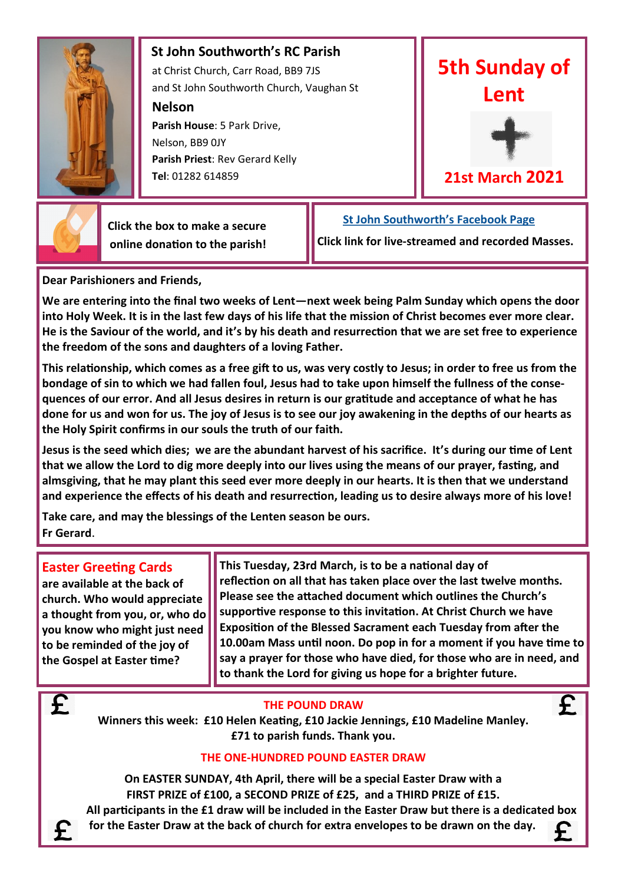

 **St John Southworth's RC Parish** at Christ Church, Carr Road, BB9 7JS and St John Southworth Church, Vaughan St

**Nelson**

 **Parish House**: 5 Park Drive, Nelson, BB9 0JY **Parish Priest**: Rev Gerard Kelly **Tel**: 01282 614859





**21st March 2021**



 **Click the box to make a secure online donation to the parish!**

 **[St John Southworth's Facebook Page](https://www.facebook.com/Parish-of-St-John-Southworth-in-Nelson-105718084323986) Click link for live-streamed and recorded Masses.**

**Dear Parishioners and Friends,**

**We are entering into the final two weeks of Lent—next week being Palm Sunday which opens the door into Holy Week. It is in the last few days of his life that the mission of Christ becomes ever more clear. He is the Saviour of the world, and it's by his death and resurrection that we are set free to experience the freedom of the sons and daughters of a loving Father.** 

**This relationship, which comes as a free gift to us, was very costly to Jesus; in order to free us from the bondage of sin to which we had fallen foul, Jesus had to take upon himself the fullness of the consequences of our error. And all Jesus desires in return is our gratitude and acceptance of what he has done for us and won for us. The joy of Jesus is to see our joy awakening in the depths of our hearts as the Holy Spirit confirms in our souls the truth of our faith.** 

**Jesus is the seed which dies; we are the abundant harvest of his sacrifice. It's during our time of Lent that we allow the Lord to dig more deeply into our lives using the means of our prayer, fasting, and almsgiving, that he may plant this seed ever more deeply in our hearts. It is then that we understand and experience the effects of his death and resurrection, leading us to desire always more of his love!**

**Take care, and may the blessings of the Lenten season be ours. Fr Gerard**.

## **Easter Greeting Cards**

 $\overline{\mathbf{f}}$ 

£

**are available at the back of church. Who would appreciate a thought from you, or, who do you know who might just need to be reminded of the joy of the Gospel at Easter time?**

**This Tuesday, 23rd March, is to be a national day of reflection on all that has taken place over the last twelve months. Please see the attached document which outlines the Church's supportive response to this invitation. At Christ Church we have Exposition of the Blessed Sacrament each Tuesday from after the 10.00am Mass until noon. Do pop in for a moment if you have time to say a prayer for those who have died, for those who are in need, and to thank the Lord for giving us hope for a brighter future.**

## **THE POUND DRAW**

 $\overline{\mathbf{f}}$ 

**Winners this week: £10 Helen Keating, £10 Jackie Jennings, £10 Madeline Manley. £71 to parish funds. Thank you.**

## **THE ONE-HUNDRED POUND EASTER DRAW**

**On EASTER SUNDAY, 4th April, there will be a special Easter Draw with a FIRST PRIZE of £100, a SECOND PRIZE of £25, and a THIRD PRIZE of £15. All participants in the £1 draw will be included in the Easter Draw but there is a dedicated box for the Easter Draw at the back of church for extra envelopes to be drawn on the day.**